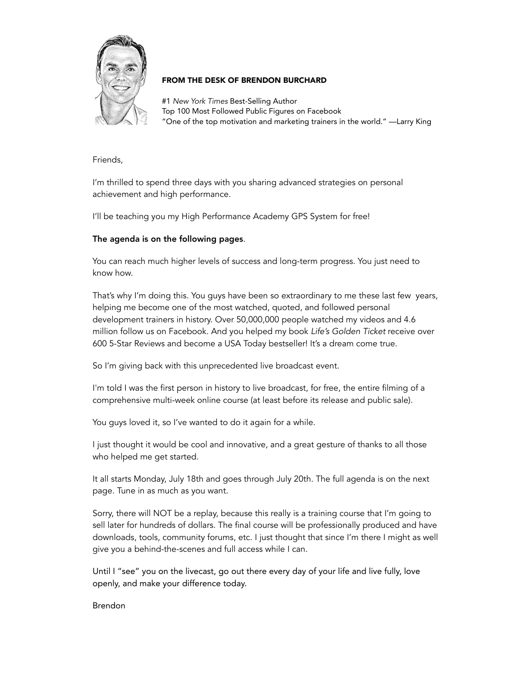

## FROM THE DESK OF BRENDON BURCHARD

#1 *New York Times* Best-Selling Author Top 100 Most Followed Public Figures on Facebook "One of the top motivation and marketing trainers in the world." —Larry King

Friends,

I'm thrilled to spend three days with you sharing advanced strategies on personal achievement and high performance.

I'll be teaching you my High Performance Academy GPS System for free!

# The agenda is on the following pages.

You can reach much higher levels of success and long-term progress. You just need to know how.

That's why I'm doing this. You guys have been so extraordinary to me these last few years, helping me become one of the most watched, quoted, and followed personal development trainers in history. Over 50,000,000 people watched my videos and 4.6 million follow us on Facebook. And you helped my book *Life's Golden Ticket* receive over 600 5-Star Reviews and become a USA Today bestseller! It's a dream come true.

So I'm giving back with this unprecedented live broadcast event.

I'm told I was the first person in history to live broadcast, for free, the entire filming of a comprehensive multi-week online course (at least before its release and public sale).

You guys loved it, so I've wanted to do it again for a while.

I just thought it would be cool and innovative, and a great gesture of thanks to all those who helped me get started.

It all starts Monday, July 18th and goes through July 20th. The full agenda is on the next page. Tune in as much as you want.

Sorry, there will NOT be a replay, because this really is a training course that I'm going to sell later for hundreds of dollars. The final course will be professionally produced and have downloads, tools, community forums, etc. I just thought that since I'm there I might as well give you a behind-the-scenes and full access while I can.

Until I "see" you on the livecast, go out there every day of your life and live fully, love openly, and make your difference today.

Brendon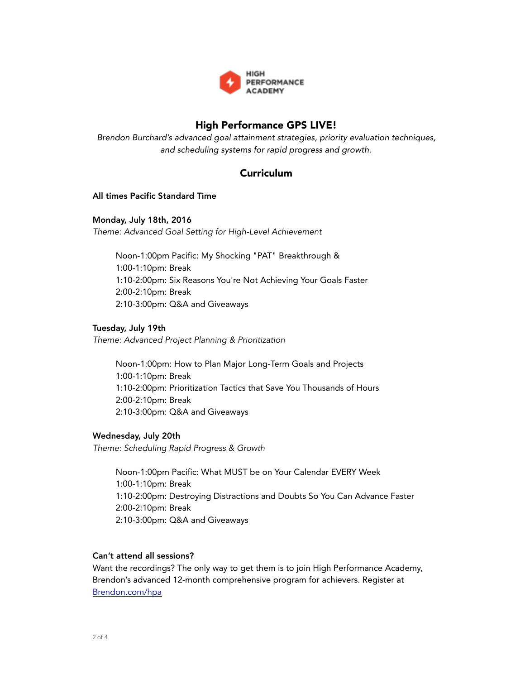

# High Performance GPS LIVE!

*Brendon Burchard's advanced goal attainment strategies, priority evaluation techniques, and scheduling systems for rapid progress and growth.* 

# Curriculum

#### All times Pacific Standard Time

#### Monday, July 18th, 2016

*Theme: Advanced Goal Setting for High-Level Achievement* 

Noon-1:00pm Pacific: My Shocking "PAT" Breakthrough & 1:00-1:10pm: Break 1:10-2:00pm: Six Reasons You're Not Achieving Your Goals Faster 2:00-2:10pm: Break 2:10-3:00pm: Q&A and Giveaways

#### Tuesday, July 19th

*Theme: Advanced Project Planning & Prioritization* 

Noon-1:00pm: How to Plan Major Long-Term Goals and Projects 1:00-1:10pm: Break 1:10-2:00pm: Prioritization Tactics that Save You Thousands of Hours 2:00-2:10pm: Break 2:10-3:00pm: Q&A and Giveaways

## Wednesday, July 20th

*Theme: Scheduling Rapid Progress & Growth* 

Noon-1:00pm Pacific: What MUST be on Your Calendar EVERY Week 1:00-1:10pm: Break 1:10-2:00pm: Destroying Distractions and Doubts So You Can Advance Faster 2:00-2:10pm: Break 2:10-3:00pm: Q&A and Giveaways

#### Can't attend all sessions?

Want the recordings? The only way to get them is to join High Performance Academy, Brendon's advanced 12-month comprehensive program for achievers. Register at [Brendon.com/hpa](http://brendon.com/hpa)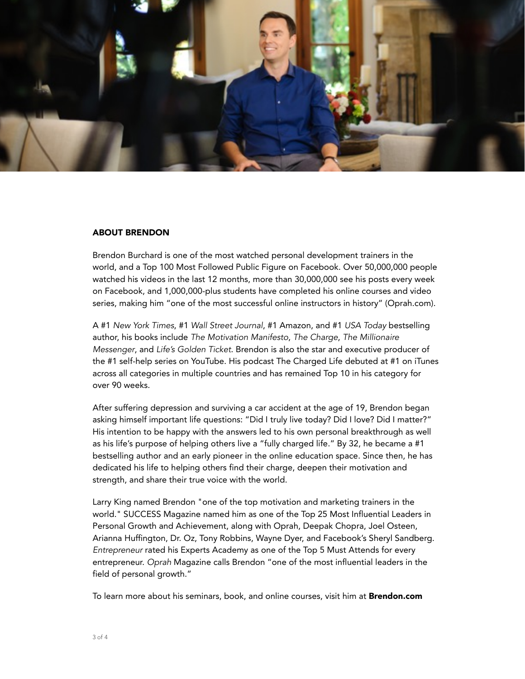

#### ABOUT BRENDON

Brendon Burchard is one of the most watched personal development trainers in the world, and a Top 100 Most Followed Public Figure on Facebook. Over 50,000,000 people watched his videos in the last 12 months, more than 30,000,000 see his posts every week on Facebook, and 1,000,000-plus students have completed his online courses and video series, making him "one of the most successful online instructors in history" (Oprah.com).

A #1 *New York Times*, #1 *Wall Street Journal*, #1 Amazon, and #1 *USA Today* bestselling author, his books include *The Motivation Manifesto*, *The Charge*, *The Millionaire Messenger*, and *Life's Golden Ticket*. Brendon is also the star and executive producer of the #1 self-help series on YouTube. His podcast The Charged Life debuted at #1 on iTunes across all categories in multiple countries and has remained Top 10 in his category for over 90 weeks.

After suffering depression and surviving a car accident at the age of 19, Brendon began asking himself important life questions: "Did I truly live today? Did I love? Did I matter?" His intention to be happy with the answers led to his own personal breakthrough as well as his life's purpose of helping others live a "fully charged life." By 32, he became a #1 bestselling author and an early pioneer in the online education space. Since then, he has dedicated his life to helping others find their charge, deepen their motivation and strength, and share their true voice with the world.

Larry King named Brendon "one of the top motivation and marketing trainers in the world." SUCCESS Magazine named him as one of the Top 25 Most Influential Leaders in Personal Growth and Achievement, along with Oprah, Deepak Chopra, Joel Osteen, Arianna Huffington, Dr. Oz, Tony Robbins, Wayne Dyer, and Facebook's Sheryl Sandberg. *Entrepreneur* rated his Experts Academy as one of the Top 5 Must Attends for every entrepreneur. *Oprah* Magazine calls Brendon "one of the most influential leaders in the field of personal growth."

To learn more about his seminars, book, and online courses, visit him at **Brendon.com**